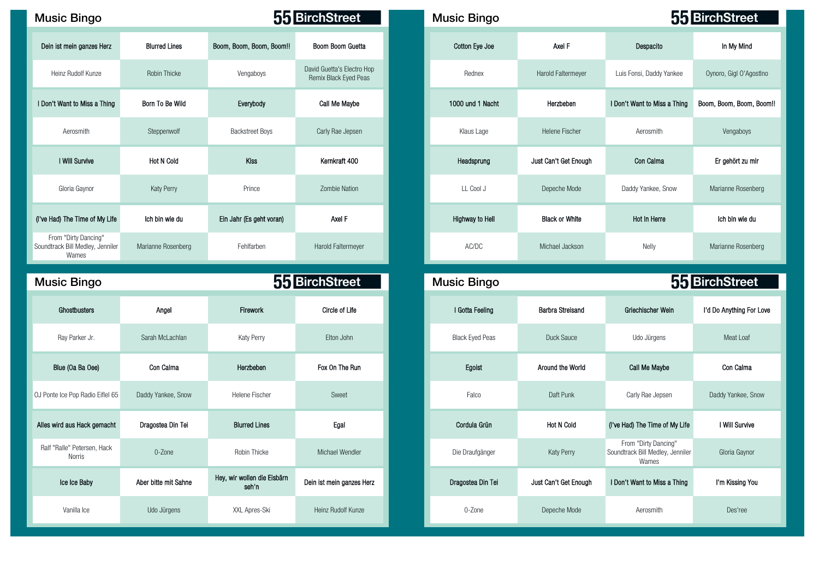## Music Bingo **Music Bingo Music Bingo Music Bingo Music Bingo Music Bingo Music Bingo**

| Dein ist mein ganzes Herz                                         | <b>Blurred Lines</b> | Boom, Boom, Boom, Boom!! | Boom Boom Guetta                                    | Cotton Eye Joe   | Axel F                | Despacito                    | In My Mind         |
|-------------------------------------------------------------------|----------------------|--------------------------|-----------------------------------------------------|------------------|-----------------------|------------------------------|--------------------|
| Heinz Rudolf Kunze                                                | Robin Thicke         | Vengaboys                | David Guetta's Electro Hop<br>Remix Black Eyed Peas | Rednex           | Harold Faltermeyer    | Luis Fonsi, Daddy Yankee     | Oynoro, Gigl O'Ago |
| I Don't Want to Miss a Thing                                      | Born To Be Wild      | Everybody                | Call Me Maybe                                       | 1000 und 1 Nacht | Herzbeben             | I Don't Want to Miss a Thing | Boom, Boom, Boom,  |
| Aerosmith                                                         | Steppenwolf          | <b>Backstreet Boys</b>   | Carly Rae Jepsen                                    | Klaus Lage       | Helene Fischer        | Aerosmith                    | Vengaboys          |
| I Will Survive                                                    | <b>Hot N Cold</b>    | Kiss                     | Kernkraft 400                                       | Headsprung       | Just Can't Get Enough | Con Calma                    | Er gehört zu m     |
| Gloria Gaynor                                                     | Katy Perry           | Prince                   | <b>Zombie Nation</b>                                | LL Cool J        | Depeche Mode          | Daddy Yankee, Snow           | Marianne Rosenb    |
| (I've Had) The Time of My Life                                    | Ich bin wie du       | Ein Jahr (Es geht voran) | Axel F                                              | Highway to Hell  | <b>Black or White</b> | Hot In Herre                 | Ich bin wie du     |
| From "Dirty Dancing"<br>Soundtrack Bill Medley, Jenniler<br>Wames | Marianne Rosenberg   | Fehlfarben               | Harold Faltermeyer                                  | AC/DC            | Michael Jackson       | Nelly                        | Marianne Rosenb    |

## Music Bingo **Music Bingo Music Bingo Music Bingo Music Bingo Music Bingo Music Bingo Music Bingo**

| Ghostbusters                          | Angel                | Firework                             | Circle of Life            | I Gotta Feeling        | <b>Barbra Streisand</b> | Griechischer Wein                                                 | I'd Do Anything For Lo |
|---------------------------------------|----------------------|--------------------------------------|---------------------------|------------------------|-------------------------|-------------------------------------------------------------------|------------------------|
| Ray Parker Jr.                        | Sarah McLachlan      | Katy Perry                           | Elton John                | <b>Black Eyed Peas</b> | Duck Sauce              | Udo Jürgens                                                       |                        |
| Blue (Oa Ba Oee)                      | Con Calma            | Herzbeben                            | Fox On The Run            | Egoist                 | Around the World        | <b>Call Me Maybe</b>                                              |                        |
| OJ Ponte Ice Pop Radio Eiflel 65      | Daddy Yankee, Snow   | Helene Fischer                       | Sweet                     | Falco                  | Daft Punk               | Carly Rae Jepsen                                                  | Daddy Yankee, Snow     |
| Alles wird aus Hack gemacht           | Dragostea Din Tei    | <b>Blurred Lines</b>                 | Egal                      | Cordula Grün           | <b>Hot N Cold</b>       | (I've Had) The Time of My Life                                    | I Will Survive         |
| Ralf "Ralle" Petersen, Hack<br>Norris | 0-Zone               | Robin Thicke                         | Michael Wendler           | Die Draufgänger        | Katy Perry              | From "Dirty Dancing"<br>Soundtrack Bill Medley, Jenniler<br>Wames | Gloria Gaynor          |
| Ice Ice Baby                          | Aber bitte mit Sahne | Hey, wir wollen die Eisbärn<br>seh'n | Dein ist mein ganzes Herz | Dragostea Din Tei      | Just Can't Get Enough   | I Don't Want to Miss a Thing                                      | I'm Kissing You        |
| Vanilla Ice                           | Udo Jürgens          | XXL Apres-Ski                        | Heinz Rudolf Kunze        | 0-Zone                 | Depeche Mode            | Aerosmith                                                         |                        |

| Music Bingo                                                      |                      |                          | 55 BirchStreet                                      | <b>Music Bingo</b>     |                       |                              | 55 BirchStreet           |
|------------------------------------------------------------------|----------------------|--------------------------|-----------------------------------------------------|------------------------|-----------------------|------------------------------|--------------------------|
| Dein ist mein ganzes Herz                                        | <b>Blurred Lines</b> | Boom, Boom, Boom, Boom!! | Boom Boom Guetta                                    | Cotton Eye Joe         | Axel F                | Despacito                    | In My Mind               |
| Heinz Rudolf Kunze                                               | Robin Thicke         | Vengaboys                | David Guetta's Electro Hop<br>Remix Black Eyed Peas | Rednex                 | Harold Faltermeyer    | Luis Fonsi, Daddy Yankee     | Oynoro, Gigl O'AgostIno  |
| l Don't Want to Miss a Thing                                     | Born To Be Wild      | Everybody                | Call Me Maybe                                       | 1000 und 1 Nacht       | Herzbeben             | I Don't Want to Miss a Thing | Boom, Boom, Boom, Boom!! |
| Aerosmith                                                        | Steppenwolf          | <b>Backstreet Boys</b>   | Carly Rae Jepsen                                    | Klaus Lage             | <b>Helene Fischer</b> | Aerosmith                    | Vengaboys                |
| I Will Survive                                                   | <b>Hot N Cold</b>    | Kiss                     | Kernkraft 400                                       | Headsprung             | Just Can't Get Enough | Con Calma                    | Er gehört zu mir         |
| Gloria Gaynor                                                    | <b>Katy Perry</b>    | Prince                   | Zombie Nation                                       | LL Cool J              | Depeche Mode          | Daddy Yankee, Snow           | Marianne Rosenberg       |
| I've Had) The Time of My Life                                    | Ich bin wie du       | Ein Jahr (Es geht voran) | Axel F                                              | <b>Highway to Hell</b> | <b>Black or White</b> | Hot In Herre                 | Ich bin wie du           |
| From "Dirty Dancing"<br>oundtrack Bill Medley, Jenniler<br>Wames | Marianne Rosenberg   | Fehlfarben               | Harold Faltermeyer                                  | AC/DC                  | Michael Jackson       | Nelly                        | Marianne Rosenberg       |

| ic Bingo                       |                      |                                      | 55 BirchStreet            | <b>Music Bingo</b>     |                         |                                                                   | 55 BirchStreet           |
|--------------------------------|----------------------|--------------------------------------|---------------------------|------------------------|-------------------------|-------------------------------------------------------------------|--------------------------|
| Ghostbusters                   | Angel                | Firework                             | <b>Circle of Life</b>     | I Gotta Feeling        | <b>Barbra Streisand</b> | Griechischer Wein                                                 | I'd Do Anything For Love |
| Ray Parker Jr.                 | Sarah McLachlan      | Katy Perry                           | Elton John                | <b>Black Eyed Peas</b> | Duck Sauce              | Udo Jürgens                                                       | Meat Loaf                |
| ue (Oa Ba Oee)                 | Con Calma            | Herzbeben                            | Fox On The Run            | Egoist                 | Around the World        | <b>Call Me Maybe</b>                                              | Con Calma                |
| Ice Pop Radio Eiflel 65        | Daddy Yankee, Snow   | Helene Fischer                       | Sweet                     | Falco                  | Daft Punk               | Carly Rae Jepsen                                                  | Daddy Yankee, Snow       |
| rd aus Hack gemacht            | Dragostea Din Tei    | <b>Blurred Lines</b>                 | Egal                      | Cordula Grün           | <b>Hot N Cold</b>       | (I've Had) The Time of My Life                                    | I Will Survive           |
| alle" Petersen, Hack<br>Norris | 0-Zone               | Robin Thicke                         | Michael Wendler           | Die Draufgänger        | Katy Perry              | From "Dirty Dancing"<br>Soundtrack Bill Medley, Jenniler<br>Wames | Gloria Gaynor            |
| Ice Ice Baby                   | Aber bitte mit Sahne | Hey, wir wollen die Eisbärn<br>seh'n | Dein ist mein ganzes Herz | Dragostea Din Tei      | Just Can't Get Enough   | I Don't Want to Miss a Thing                                      | I'm Kissing You          |
| Vanilla Ice                    | Udo Jürgens          | XXL Apres-Ski                        | Heinz Rudolf Kunze        | 0-Zone                 | Depeche Mode            | Aerosmith                                                         | Des'ree                  |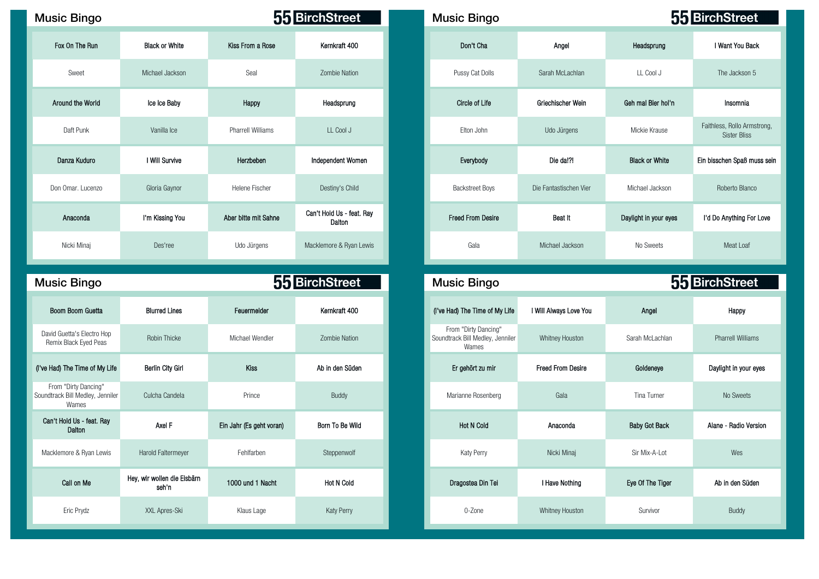## Music Bingo **Music Bingo Music Bingo Music Bingo**

| Fox On The Run    | <b>Black or White</b> | Kiss From a Rose         | Kernkraft 400                       | Don't Cha                | Angel                  | Headsprung            | I Want You Bac                        |
|-------------------|-----------------------|--------------------------|-------------------------------------|--------------------------|------------------------|-----------------------|---------------------------------------|
| Sweet             | Michael Jackson       | Seal                     | Zombie Nation                       | Pussy Cat Dolls          | Sarah McLachlan        | LL Cool J             | The Jackson 5                         |
| Around the World  | Ice Ice Baby          | Happy                    | Headsprung                          | Circle of Life           | Griechischer Wein      | Geh mal Bier hol'n    | Insomnia                              |
| Daft Punk         | Vanilla Ice           | <b>Pharrell Williams</b> | LL Cool J                           | Elton John               | Udo Jürgens            | Mickie Krause         | Faithless, Rollo Arms<br>Sister Bliss |
| Danza Kuduro      | I Will Survive        | Herzbeben                | Independent Women                   | Everybody                | Die dal?I              | <b>Black or White</b> | Ein bisschen Spaß mu                  |
| Don Omar. Lucenzo | Gloria Gaynor         | Helene Fischer           | Destiny's Child                     | <b>Backstreet Boys</b>   | Die Fantastischen Vier | Michael Jackson       | Roberto Blanco                        |
| Anaconda          | I'm Kissing You       | Aber bitte mit Sahne     | Can't Hold Us - feat. Ray<br>Dalton | <b>Freed From Desire</b> | Beat It                | Daylight in your eyes | I'd Do Anything For                   |
| Nicki Minaj       | Des'ree               | Udo Jürgens              | Macklemore & Ryan Lewis             | Gala                     | Michael Jackson        | No Sweets             | Meat Loaf                             |
|                   |                       |                          |                                     |                          |                        |                       |                                       |

|                                      |                          |                   |                | <b>Music Bingo</b>                                                |                          |                      | 55 BirchStreet           |
|--------------------------------------|--------------------------|-------------------|----------------|-------------------------------------------------------------------|--------------------------|----------------------|--------------------------|
| <b>Blurred Lines</b>                 | Feuermelder              | Kernkraft 400     |                | (I've Had) The Time of My Life                                    | I Will Always Love You   | Angel                | Happy                    |
| Robin Thicke                         | Michael Wendler          | Zombie Nation     |                | From "Dirty Dancing"<br>Soundtrack Bill Medley, Jenniler<br>Wames | Whitney Houston          | Sarah McLachlan      | <b>Pharrell Williams</b> |
| Berlin City Girl                     | Kiss                     | Ab in den Süden   |                | Er gehört zu mir                                                  | <b>Freed From Desire</b> | Goldeneye            | Daylight in your eyes    |
| Culcha Candela                       | Prince                   | Buddy             |                | Marianne Rosenberg                                                | Gala                     | Tina Turner          | No Sweets                |
| Axel F                               | Ein Jahr (Es geht voran) | Born To Be Wild   |                | <b>Hot N Cold</b>                                                 | Anaconda                 | <b>Baby Got Back</b> | Alane - Radio Versior    |
| Harold Faltermeyer                   | Fehlfarben               | Steppenwolf       |                | Katy Perry                                                        | Nicki Minaj              | Sir Mix-A-Lot        | Wes                      |
| Hey, wir wollen die Eisbärn<br>seh'n | 1000 und 1 Nacht         | <b>Hot N Cold</b> |                | Dragostea Din Tei                                                 | I Have Nothing           | Eye Of The Tiger     | Ab in den Süden          |
| XXL Apres-Ski                        | Klaus Lage               | Katy Perry        |                | 0-Zone                                                            | Whitney Houston          | Survivor             | Buddy                    |
|                                      |                          |                   | 55 BirchStreet |                                                                   |                          |                      |                          |

| sic Bingo               |                       |                          | 55 BirchStreet                      | <b>Music Bingo</b>       |                        |                       | 55 BirchStreet                                     |
|-------------------------|-----------------------|--------------------------|-------------------------------------|--------------------------|------------------------|-----------------------|----------------------------------------------------|
| Fox On The Run          | <b>Black or White</b> | Kiss From a Rose         | Kernkraft 400                       | Don't Cha                | Angel                  | Headsprung            | I Want You Back                                    |
| Sweet                   | Michael Jackson       | Seal                     | <b>Zombie Nation</b>                | Pussy Cat Dolls          | Sarah McLachlan        | LL Cool J             | The Jackson 5                                      |
| <b>Around the World</b> | Ice Ice Baby          | Happy                    | Headsprung                          | Circle of Life           | Griechischer Wein      | Geh mal Bier hol'n    | Insomnia                                           |
| Daft Punk               | Vanilla Ice           | <b>Pharrell Williams</b> | LL Cool J                           | Elton John               | Udo Jürgens            | Mickie Krause         | Faithless, Rollo Armstrong,<br><b>Sister Bliss</b> |
| Danza Kuduro            | I Will Survive        | Herzbeben                | Independent Women                   | Everybody                | Die dal?!              | <b>Black or White</b> | Ein bisschen Spaß muss sein                        |
| on Omar. Lucenzo        | Gloria Gaynor         | Helene Fischer           | Destiny's Child                     | <b>Backstreet Boys</b>   | Die Fantastischen Vier | Michael Jackson       | Roberto Blanco                                     |
| Anaconda                | I'm Kissing You       | Aber bitte mit Sahne     | Can't Hold Us - feat. Ray<br>Dalton | <b>Freed From Desire</b> | Beat It                | Daylight in your eyes | I'd Do Anything For Love                           |
| Nicki Minaj             | Des'ree               | Udo Jürgens              | Macklemore & Ryan Lewis             | Gala                     | Michael Jackson        | No Sweets             | Meat Loaf                                          |

| <b>Bingo</b>                                     |                                      |                          | 55 BirchStreet    | <b>Music Bingo</b>                                                |                          |                      | 55 BirchStreet           |
|--------------------------------------------------|--------------------------------------|--------------------------|-------------------|-------------------------------------------------------------------|--------------------------|----------------------|--------------------------|
| Boom Guetta                                      | <b>Blurred Lines</b>                 | Feuermelder              | Kernkraft 400     | (I've Had) The Time of My Life                                    | I Will Always Love You   | Angel                | Happy                    |
| tta's Electro Hop<br>lack Eyed Peas              | Robin Thicke                         | Michael Wendler          | Zombie Nation     | From "Dirty Dancing"<br>Soundtrack Bill Medley, Jenniler<br>Wames | Whitney Houston          | Sarah McLachlan      | <b>Pharrell Williams</b> |
| e Time of My Life                                | <b>Berlin City Girl</b>              | Kiss                     | Ab in den Süden   | Er gehört zu mir                                                  | <b>Freed From Desire</b> | Goldeneye            | Daylight in your eyes    |
| Dirty Dancing"<br>Bill Medley, Jenniler<br>Names | Culcha Candela                       | Prince                   | Buddy             | Marianne Rosenberg                                                | Gala                     | Tina Turner          | No Sweets                |
| d Us - feat. Ray<br>Dalton                       | Axel F                               | Ein Jahr (Es geht voran) | Born To Be Wild   | <b>Hot N Cold</b>                                                 | Anaconda                 | <b>Baby Got Back</b> | Alane - Radio Version    |
| re & Ryan Lewis                                  | Harold Faltermeyer                   | Fehlfarben               | Steppenwolf       | Katy Perry                                                        | Nicki Minaj              | Sir Mix-A-Lot        | Wes                      |
| ull on Me                                        | Hey, wir wollen die Eisbärn<br>seh n | 1000 und 1 Nacht         | <b>Hot N Cold</b> | Dragostea Din Tei                                                 | I Have Nothing           | Eye Of The Tiger     | Ab in den Süden          |
| ic Prydz                                         | XXL Apres-Ski                        | Klaus Lage               | Katy Perry        | 0-Zone                                                            | Whitney Houston          | Survivor             | Buddy                    |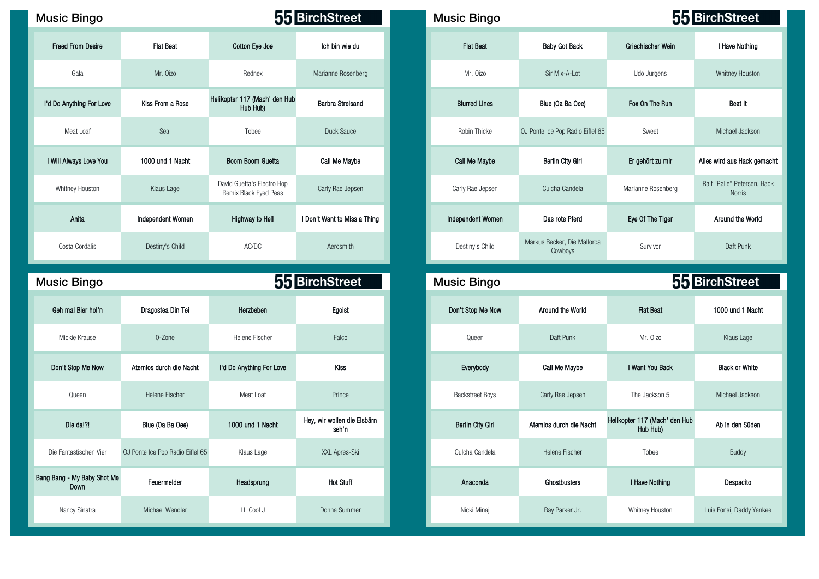## Music Bingo **Music Bingo Music Bingo Music Bingo Music Bingo Music Bingo Music Bingo**

| <b>Freed From Desire</b> | <b>Flat Beat</b>  | Cotton Eye Joe                                      | Ich bin wie du               |  | <b>Flat Beat</b>     | <b>Baby Got Back</b>                   | Griechischer Wein                         |
|--------------------------|-------------------|-----------------------------------------------------|------------------------------|--|----------------------|----------------------------------------|-------------------------------------------|
| Gala                     | Mr. Oizo          | Rednex                                              | Marianne Rosenberg           |  | Mr. Oizo             | Sir Mix-A-Lot                          | Udo Jürgens                               |
| I'd Do Anything For Love | Kiss From a Rose  | Helikopter 117 (Mach' den Hub<br>Hub Hub)           | Barbra Streisand             |  | <b>Blurred Lines</b> | Blue (Oa Ba Oee)                       | Fox On The Run                            |
| Meat Loaf                | Seal              | Tobee                                               | Duck Sauce                   |  | Robin Thicke         |                                        | Sweet<br>OJ Ponte Ice Pop Radio Eiflel 65 |
| I Will Always Love You   | 1000 und 1 Nacht  | Boom Boom Guetta                                    | Call Me Maybe                |  | <b>Call Me Maybe</b> | Berlin City Girl                       | Er gehört zu mir                          |
| Whitney Houston          | Klaus Lage        | David Guetta's Electro Hop<br>Remix Black Eyed Peas | Carly Rae Jepsen             |  | Carly Rae Jepsen     | Culcha Candela                         | Marianne Rosenberg                        |
| Anita                    | Independent Women | Highway to Hell                                     | I Don't Want to Miss a Thing |  | Independent Women    | Das rote Pferd                         | Eye Of The Tiger                          |
| Costa Cordalis           | Destiny's Child   | AC/DC                                               | Aerosmith                    |  | Destiny's Child      | Markus Becker, Die Mallorca<br>Cowboys | Survivor                                  |

| <b>Music Bingo</b>                  |                                  |                          | <b>55 BirchStreet</b>                | <b>Music Bingo</b>     |                         |                                           | <b>55 BirchStreet</b> |
|-------------------------------------|----------------------------------|--------------------------|--------------------------------------|------------------------|-------------------------|-------------------------------------------|-----------------------|
| Geh mal Bier hol'n                  | Dragostea Din Tei                | Herzbeben                | Egoist                               | Don't Stop Me Now      | Around the World        | <b>Flat Beat</b>                          | 1000 und 1 Nacht      |
| Mickie Krause                       | 0-Zone                           | Helene Fischer           | Falco                                | Queen                  | Daft Punk               | Mr. Oizo                                  | Klaus Lage            |
| Don't Stop Me Now                   | Atemios durch die Nacht          | I'd Do Anything For Love | <b>Kiss</b>                          | Everybody              | Call Me Maybe           | I Want You Back                           | <b>Black or White</b> |
| Queen                               | Helene Fischer                   | Meat Loaf                | Prince                               | <b>Backstreet Boys</b> | Carly Rae Jepsen        | The Jackson 5                             | Michael Jackson       |
| Die da!?!                           | Blue (Oa Ba Oee)                 | 1000 und 1 Nacht         | Hey, wir wollen die Eisbärn<br>seh'n | Berlin City Girl       | Atemios durch die Nacht | Helikopter 117 (Mach' den Hub<br>Hub Hub) | Ab in den Süden       |
| Die Fantastischen Vier              | OJ Ponte Ice Pop Radio Eiflel 65 | Klaus Lage               | XXL Apres-Ski                        | Culcha Candela         | Helene Fischer          | Tobee                                     | Buddy                 |
| Bang Bang - My Baby Shot Me<br>Down | Feuermelder                      | Headsprung               | <b>Hot Stuff</b>                     | Anaconda               | Ghostbusters            | I Have Nothing                            | Despacito             |
| Nancy Sinatra                       | Michael Wendler                  | LL Cool J                | Donna Summer                         | Nicki Minaj            | Ray Parker Jr.          | Whitney Houston                           | Luis Fonsi, Daddy Yan |

| usic Bingo               |                   |                                                     | 55 BirchStreet               | <b>Music Bingo</b>   |                                        |                    | 55 BirchStreet                               |
|--------------------------|-------------------|-----------------------------------------------------|------------------------------|----------------------|----------------------------------------|--------------------|----------------------------------------------|
| <b>Freed From Desire</b> | <b>Flat Beat</b>  | Cotton Eye Joe                                      | Ich bin wie du               | <b>Flat Beat</b>     | Baby Got Back                          | Griechischer Wein  | I Have Nothing                               |
| Gala                     | Mr. Oizo          | Rednex                                              | Marianne Rosenberg           | Mr. Oizo             | Sir Mix-A-Lot                          | Udo Jürgens        | Whitney Houston                              |
| d Do Anything For Love   | Kiss From a Rose  | Helikopter 117 (Mach' den Hub<br>Hub Hub)           | <b>Barbra Streisand</b>      | <b>Blurred Lines</b> | Blue (Oa Ba Oee)                       | Fox On The Run     | Beat It                                      |
| Meat Loaf                | Seal              | Tobee                                               | Duck Sauce                   | Robin Thicke         | OJ Ponte Ice Pop Radio Eiflel 65       | Sweet              | Michael Jackson                              |
| Will Always Love You     | 1000 und 1 Nacht  | Boom Boom Guetta                                    | Call Me Maybe                | Call Me Maybe        | Berlin City Girl                       | Er gehört zu mir   | Alles wird aus Hack gemacht                  |
| Whitney Houston          | Klaus Lage        | David Guetta's Electro Hop<br>Remix Black Eyed Peas | Carly Rae Jepsen             | Carly Rae Jepsen     | Culcha Candela                         | Marianne Rosenberg | Ralf "Ralle" Petersen, Hack<br><b>Norris</b> |
| Anita                    | Independent Women | Highway to Hell                                     | I Don't Want to Miss a Thing | Independent Women    | Das rote Pferd                         | Eye Of The Tiger   | Around the World                             |
| Costa Cordalis           | Destiny's Child   | AC/DC                                               | Aerosmith                    | Destiny's Child      | Markus Becker, Die Mallorca<br>Cowboys | Survivor           | Daft Punk                                    |

| ic Bingo                     |                                  |                          | 55 BirchStreet                       | <b>Music Bingo</b>      |                         |                                           | 55 BirchStreet           |
|------------------------------|----------------------------------|--------------------------|--------------------------------------|-------------------------|-------------------------|-------------------------------------------|--------------------------|
| h mal Bier hol'n             | Dragostea Din Tei                | Herzbeben                | Egoist                               | Don't Stop Me Now       | Around the World        | <b>Flat Beat</b>                          | 1000 und 1 Nacht         |
| Mickie Krause                | 0-Zone                           | Helene Fischer           | Falco                                | Queen                   | Daft Punk               | Mr. Oizo                                  | Klaus Lage               |
| n't Stop Me Now              | Atemios durch die Nacht          | I'd Do Anything For Love | <b>Kiss</b>                          | Everybody               | <b>Call Me Maybe</b>    | I Want You Back                           | <b>Black or White</b>    |
| Queen                        | Helene Fischer                   | Meat Loaf                | Prince                               | <b>Backstreet Boys</b>  | Carly Rae Jepsen        | The Jackson 5                             | Michael Jackson          |
| Die da!?!                    | Blue (Oa Ba Oee)                 | 1000 und 1 Nacht         | Hey, wir wollen die Eisbärn<br>seh n | <b>Berlin City Girl</b> | Atemios durch die Nacht | Helikopter 117 (Mach' den Hub<br>Hub Hub) | Ab in den Süden          |
| Fantastischen Vier           | OJ Ponte Ice Pop Radio Eiflel 65 | Klaus Lage               | XXL Apres-Ski                        | Culcha Candela          | <b>Helene Fischer</b>   | Tobee                                     | Buddy                    |
| ng - My Baby Shot Me<br>Down | Feuermelder                      | Headsprung               | <b>Hot Stuff</b>                     | Anaconda                | Ghostbusters            | I Have Nothing                            | Despacito                |
| Nancy Sinatra                | Michael Wendler                  | LL Cool J                | Donna Summer                         | Nicki Minaj             | Ray Parker Jr.          | Whitney Houston                           | Luis Fonsi, Daddy Yankee |